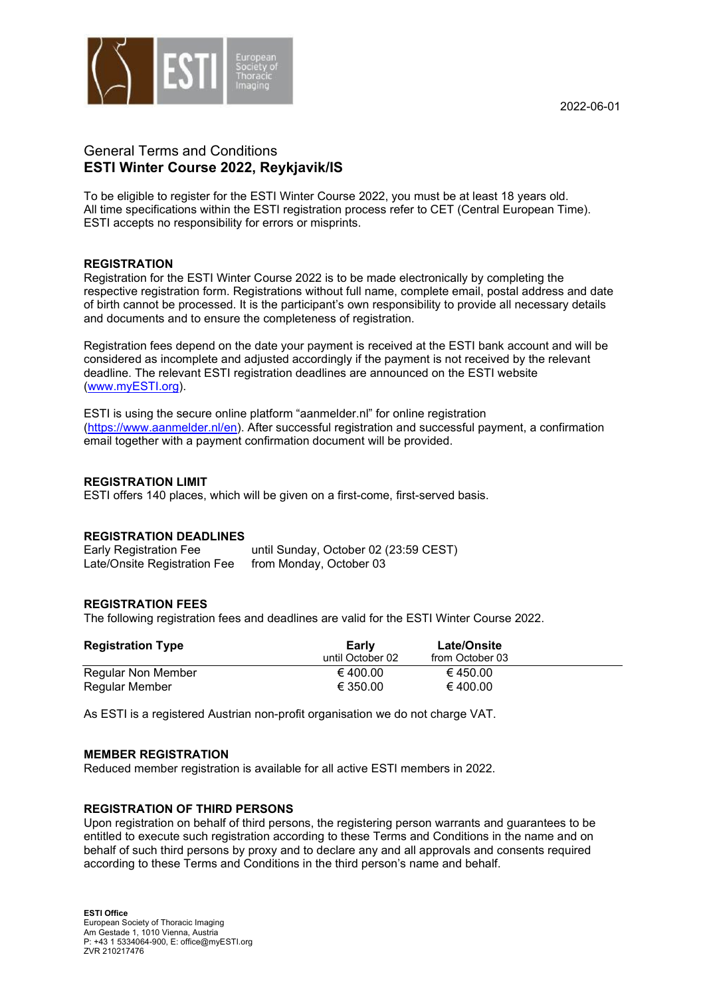



# General Terms and Conditions **ESTI Winter Course 2022, Reykjavik/IS**

To be eligible to register for the ESTI Winter Course 2022, you must be at least 18 years old. All time specifications within the ESTI registration process refer to CET (Central European Time). ESTI accepts no responsibility for errors or misprints.

# **REGISTRATION**

Registration for the ESTI Winter Course 2022 is to be made electronically by completing the respective registration form. Registrations without full name, complete email, postal address and date of birth cannot be processed. It is the participant's own responsibility to provide all necessary details and documents and to ensure the completeness of registration.

Registration fees depend on the date your payment is received at the ESTI bank account and will be considered as incomplete and adjusted accordingly if the payment is not received by the relevant deadline. The relevant ESTI registration deadlines are announced on the ESTI website (www.myESTI.org).

ESTI is using the secure online platform "aanmelder.nl" for online registration [\(https://www.aanmelder.nl/en\)](https://www.aanmelder.nl/en). After successful registration and successful payment, a confirmation email together with a payment confirmation document will be provided.

# **REGISTRATION LIMIT**

ESTI offers 140 places, which will be given on a first-come, first-served basis.

# **REGISTRATION DEADLINES**

until Sunday, October 02 (23:59 CEST) Late/Onsite Registration Fee from Monday, October 03

# **REGISTRATION FEES**

The following registration fees and deadlines are valid for the ESTI Winter Course 2022.

| <b>Registration Type</b> | Early<br>until October 02 | <b>Late/Onsite</b><br>from October 03 |
|--------------------------|---------------------------|---------------------------------------|
| Regular Non Member       | € 400.00                  | € 450.00                              |
| Regular Member           | € 350.00                  | € 400.00                              |

As ESTI is a registered Austrian non-profit organisation we do not charge VAT.

#### **MEMBER REGISTRATION**

Reduced member registration is available for all active ESTI members in 2022.

#### **REGISTRATION OF THIRD PERSONS**

Upon registration on behalf of third persons, the registering person warrants and guarantees to be entitled to execute such registration according to these Terms and Conditions in the name and on behalf of such third persons by proxy and to declare any and all approvals and consents required according to these Terms and Conditions in the third person's name and behalf.

**ESTI Office** European Society of Thoracic Imaging Am Gestade 1, 1010 Vienna, Austria P: +43 1 5334064-900, E: office@myESTI.org ZVR 210217476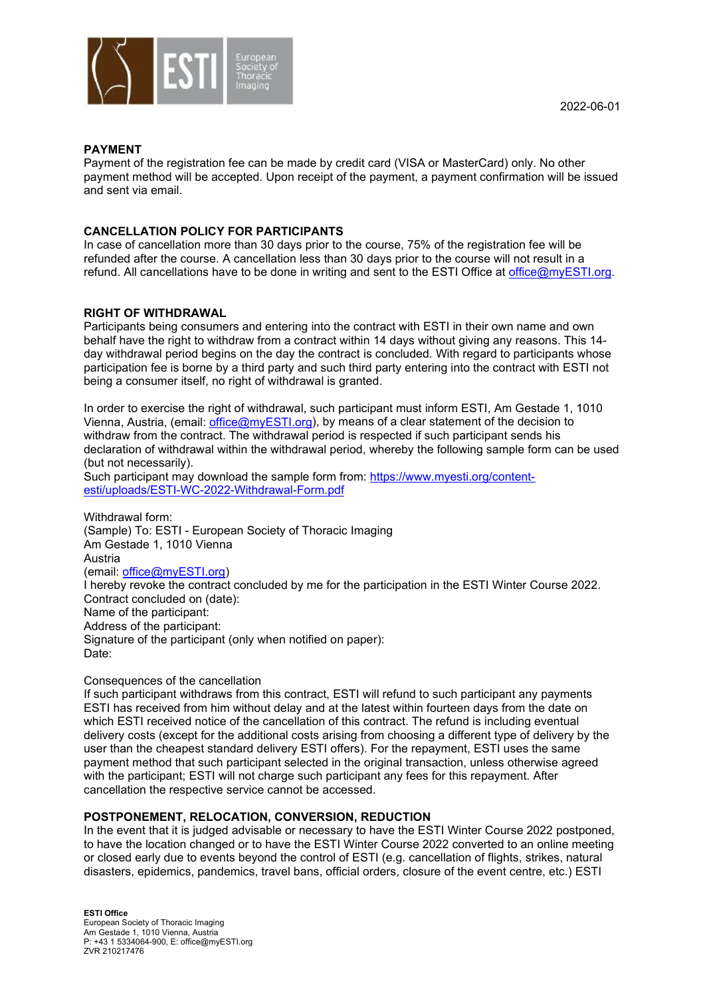

# **PAYMENT**

Payment of the registration fee can be made by credit card (VISA or MasterCard) only. No other payment method will be accepted. Upon receipt of the payment, a payment confirmation will be issued and sent via email.

# **CANCELLATION POLICY FOR PARTICIPANTS**

In case of cancellation more than 30 days prior to the course, 75% of the registration fee will be refunded after the course. A cancellation less than 30 days prior to the course will not result in a refund. All cancellations have to be done in writing and sent to the ESTI Office at [office@myESTI.org.](mailto:office@myESTI.org)

# **RIGHT OF WITHDRAWAL**

Participants being consumers and entering into the contract with ESTI in their own name and own behalf have the right to withdraw from a contract within 14 days without giving any reasons. This 14 day withdrawal period begins on the day the contract is concluded. With regard to participants whose participation fee is borne by a third party and such third party entering into the contract with ESTI not being a consumer itself, no right of withdrawal is granted.

In order to exercise the right of withdrawal, such participant must inform ESTI, Am Gestade 1, 1010 Vienna, Austria, (email: [office@myESTI.org\)](mailto:office@myESTI.org), by means of a clear statement of the decision to withdraw from the contract. The withdrawal period is respected if such participant sends his declaration of withdrawal within the withdrawal period, whereby the following sample form can be used (but not necessarily).

Such participant may download the sample form from: [https://www.myesti.org/content](https://www.myesti.org/content-esti/uploads/ESTI-WC-2022-Withdrawal-Form.pdf)[esti/uploads/ESTI-WC-2022-Withdrawal-Form.pdf](https://www.myesti.org/content-esti/uploads/ESTI-WC-2022-Withdrawal-Form.pdf)

Withdrawal form: (Sample) To: ESTI - European Society of Thoracic Imaging Am Gestade 1, 1010 Vienna Austria (email: [office@myESTI.org\)](mailto:office@myESTI.org) I hereby revoke the contract concluded by me for the participation in the ESTI Winter Course 2022. Contract concluded on (date): Name of the participant: Address of the participant: Signature of the participant (only when notified on paper): Date:

#### Consequences of the cancellation

If such participant withdraws from this contract, ESTI will refund to such participant any payments ESTI has received from him without delay and at the latest within fourteen days from the date on which ESTI received notice of the cancellation of this contract. The refund is including eventual delivery costs (except for the additional costs arising from choosing a different type of delivery by the user than the cheapest standard delivery ESTI offers). For the repayment, ESTI uses the same payment method that such participant selected in the original transaction, unless otherwise agreed with the participant; ESTI will not charge such participant any fees for this repayment. After cancellation the respective service cannot be accessed.

#### **POSTPONEMENT, RELOCATION, CONVERSION, REDUCTION**

In the event that it is judged advisable or necessary to have the ESTI Winter Course 2022 postponed, to have the location changed or to have the ESTI Winter Course 2022 converted to an online meeting or closed early due to events beyond the control of ESTI (e.g. cancellation of flights, strikes, natural disasters, epidemics, pandemics, travel bans, official orders, closure of the event centre, etc.) ESTI

**ESTI Office** European Society of Thoracic Imaging Am Gestade 1, 1010 Vienna, Austria P: +43 1 5334064-900, E: office@myESTI.org ZVR 210217476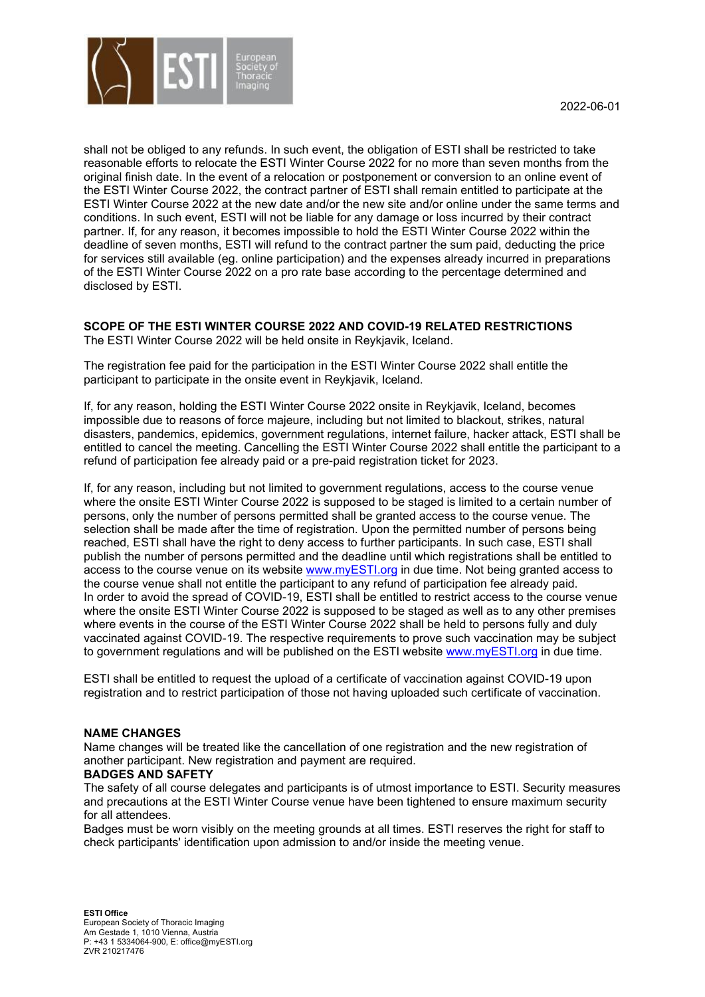

shall not be obliged to any refunds. In such event, the obligation of ESTI shall be restricted to take reasonable efforts to relocate the ESTI Winter Course 2022 for no more than seven months from the original finish date. In the event of a relocation or postponement or conversion to an online event of the ESTI Winter Course 2022, the contract partner of ESTI shall remain entitled to participate at the ESTI Winter Course 2022 at the new date and/or the new site and/or online under the same terms and conditions. In such event, ESTI will not be liable for any damage or loss incurred by their contract partner. If, for any reason, it becomes impossible to hold the ESTI Winter Course 2022 within the deadline of seven months, ESTI will refund to the contract partner the sum paid, deducting the price for services still available (eg. online participation) and the expenses already incurred in preparations of the ESTI Winter Course 2022 on a pro rate base according to the percentage determined and disclosed by ESTI.

**SCOPE OF THE ESTI WINTER COURSE 2022 AND COVID-19 RELATED RESTRICTIONS** The ESTI Winter Course 2022 will be held onsite in Reykjavik, Iceland.

The registration fee paid for the participation in the ESTI Winter Course 2022 shall entitle the participant to participate in the onsite event in Reykjavik, Iceland.

If, for any reason, holding the ESTI Winter Course 2022 onsite in Reykjavik, Iceland, becomes impossible due to reasons of force majeure, including but not limited to blackout, strikes, natural disasters, pandemics, epidemics, government regulations, internet failure, hacker attack, ESTI shall be entitled to cancel the meeting. Cancelling the ESTI Winter Course 2022 shall entitle the participant to a refund of participation fee already paid or a pre-paid registration ticket for 2023.

If, for any reason, including but not limited to government regulations, access to the course venue where the onsite ESTI Winter Course 2022 is supposed to be staged is limited to a certain number of persons, only the number of persons permitted shall be granted access to the course venue. The selection shall be made after the time of registration. Upon the permitted number of persons being reached, ESTI shall have the right to deny access to further participants. In such case, ESTI shall publish the number of persons permitted and the deadline until which registrations shall be entitled to access to the course venue on its website www.myESTI.org in due time. Not being granted access to the course venue shall not entitle the participant to any refund of participation fee already paid. In order to avoid the spread of COVID-19, ESTI shall be entitled to restrict access to the course venue where the onsite ESTI Winter Course 2022 is supposed to be staged as well as to any other premises where events in the course of the ESTI Winter Course 2022 shall be held to persons fully and duly vaccinated against COVID-19. The respective requirements to prove such vaccination may be subject to government regulations and will be published on the ESTI website [www.myESTI.org](http://www.myesti.orgi/) in due time.

ESTI shall be entitled to request the upload of a certificate of vaccination against COVID-19 upon registration and to restrict participation of those not having uploaded such certificate of vaccination.

#### **NAME CHANGES**

Name changes will be treated like the cancellation of one registration and the new registration of another participant. New registration and payment are required.

#### **BADGES AND SAFETY**

The safety of all course delegates and participants is of utmost importance to ESTI. Security measures and precautions at the ESTI Winter Course venue have been tightened to ensure maximum security for all attendees.

Badges must be worn visibly on the meeting grounds at all times. ESTI reserves the right for staff to check participants' identification upon admission to and/or inside the meeting venue.